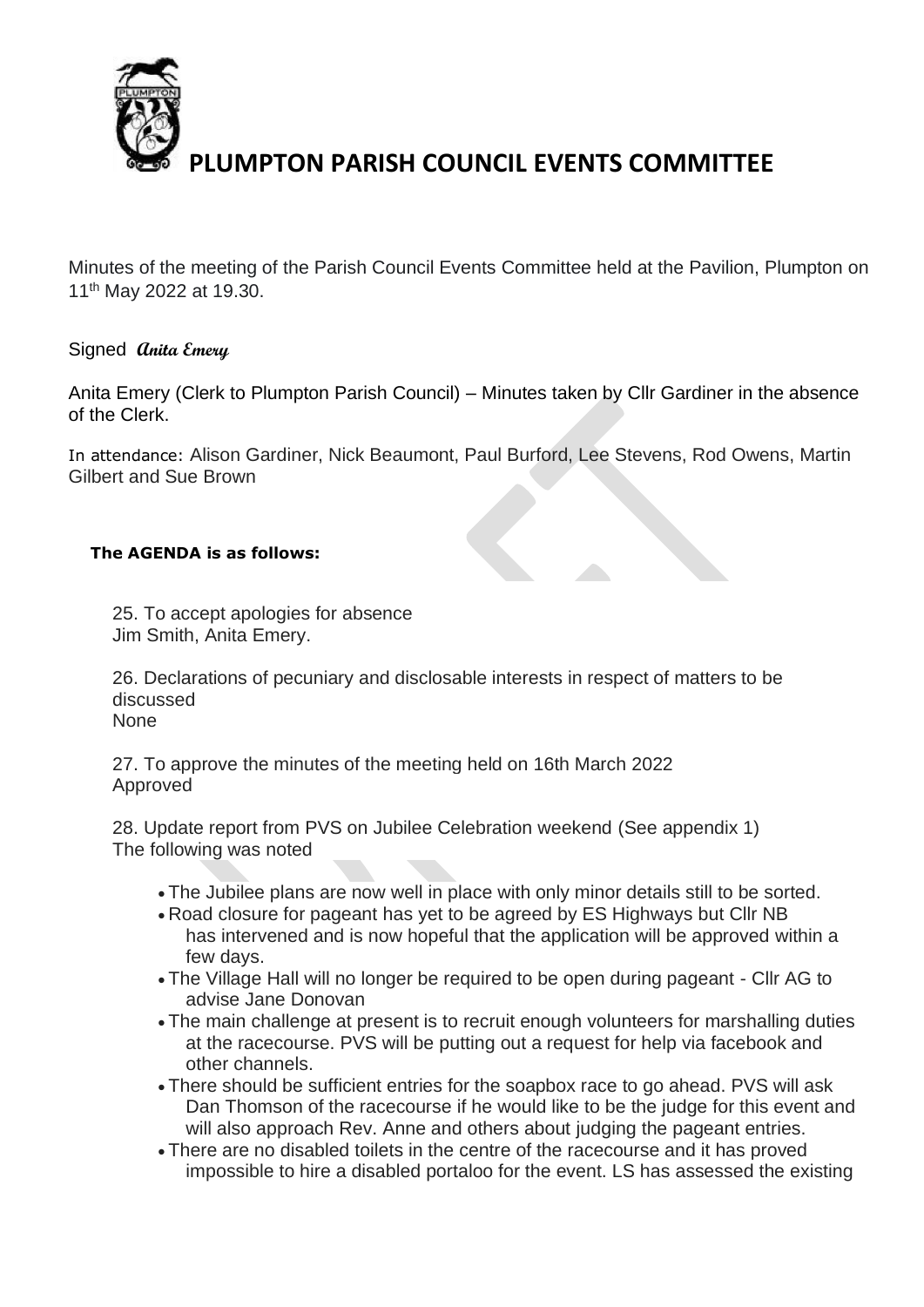

Minutes of the meeting of the Parish Council Events Committee held at the Pavilion, Plumpton on 11th May 2022 at 19.30.

## Signed **Anita Emery**

Anita Emery (Clerk to Plumpton Parish Council) – Minutes taken by Cllr Gardiner in the absence of the Clerk.

In attendance: Alison Gardiner, Nick Beaumont, Paul Burford, Lee Stevens, Rod Owens, Martin Gilbert and Sue Brown

### **The AGENDA is as follows:**

25. To accept apologies for absence Jim Smith, Anita Emery.

26. Declarations of pecuniary and disclosable interests in respect of matters to be discussed

None

27. To approve the minutes of the meeting held on 16th March 2022 Approved

28. Update report from PVS on Jubilee Celebration weekend (See appendix 1) The following was noted

- The Jubilee plans are now well in place with only minor details still to be sorted.
- Road closure for pageant has yet to be agreed by ES Highways but Cllr NB has intervened and is now hopeful that the application will be approved within a few days.
- The Village Hall will no longer be required to be open during pageant Cllr AG to advise Jane Donovan
- The main challenge at present is to recruit enough volunteers for marshalling duties at the racecourse. PVS will be putting out a request for help via facebook and other channels.
- There should be sufficient entries for the soapbox race to go ahead. PVS will ask Dan Thomson of the racecourse if he would like to be the judge for this event and will also approach Rev. Anne and others about judging the pageant entries.
- There are no disabled toilets in the centre of the racecourse and it has proved impossible to hire a disabled portaloo for the event. LS has assessed the existing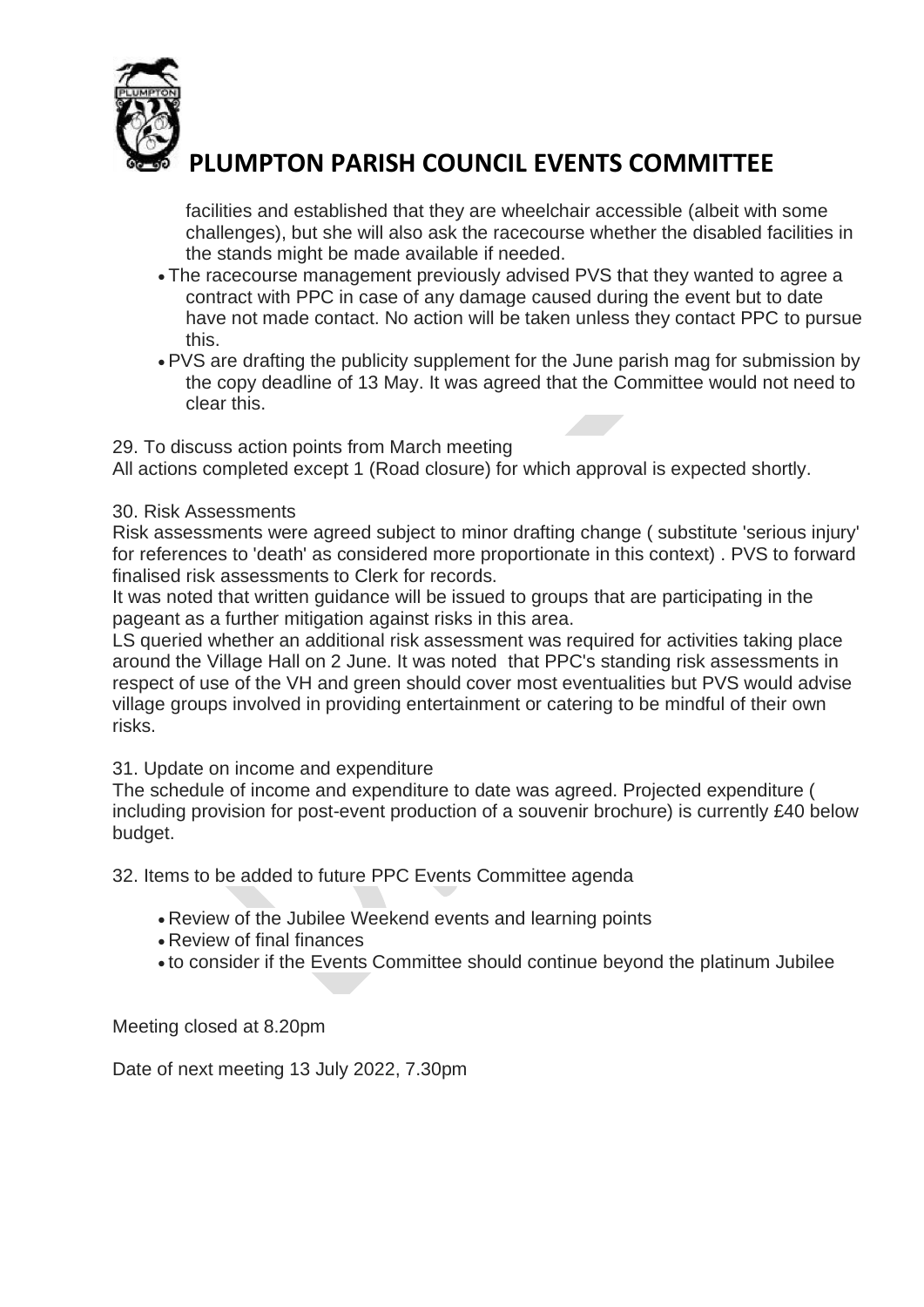

facilities and established that they are wheelchair accessible (albeit with some challenges), but she will also ask the racecourse whether the disabled facilities in the stands might be made available if needed.

- The racecourse management previously advised PVS that they wanted to agree a contract with PPC in case of any damage caused during the event but to date have not made contact. No action will be taken unless they contact PPC to pursue this.
- PVS are drafting the publicity supplement for the June parish mag for submission by the copy deadline of 13 May. It was agreed that the Committee would not need to clear this.

## 29. To discuss action points from March meeting

All actions completed except 1 (Road closure) for which approval is expected shortly.

## 30. Risk Assessments

Risk assessments were agreed subject to minor drafting change ( substitute 'serious injury' for references to 'death' as considered more proportionate in this context) . PVS to forward finalised risk assessments to Clerk for records.

It was noted that written guidance will be issued to groups that are participating in the pageant as a further mitigation against risks in this area.

LS queried whether an additional risk assessment was required for activities taking place around the Village Hall on 2 June. It was noted that PPC's standing risk assessments in respect of use of the VH and green should cover most eventualities but PVS would advise village groups involved in providing entertainment or catering to be mindful of their own risks.

## 31. Update on income and expenditure

The schedule of income and expenditure to date was agreed. Projected expenditure ( including provision for post-event production of a souvenir brochure) is currently £40 below budget.

32. Items to be added to future PPC Events Committee agenda

- Review of the Jubilee Weekend events and learning points
- Review of final finances
- to consider if the Events Committee should continue beyond the platinum Jubilee

Meeting closed at 8.20pm

Date of next meeting 13 July 2022, 7.30pm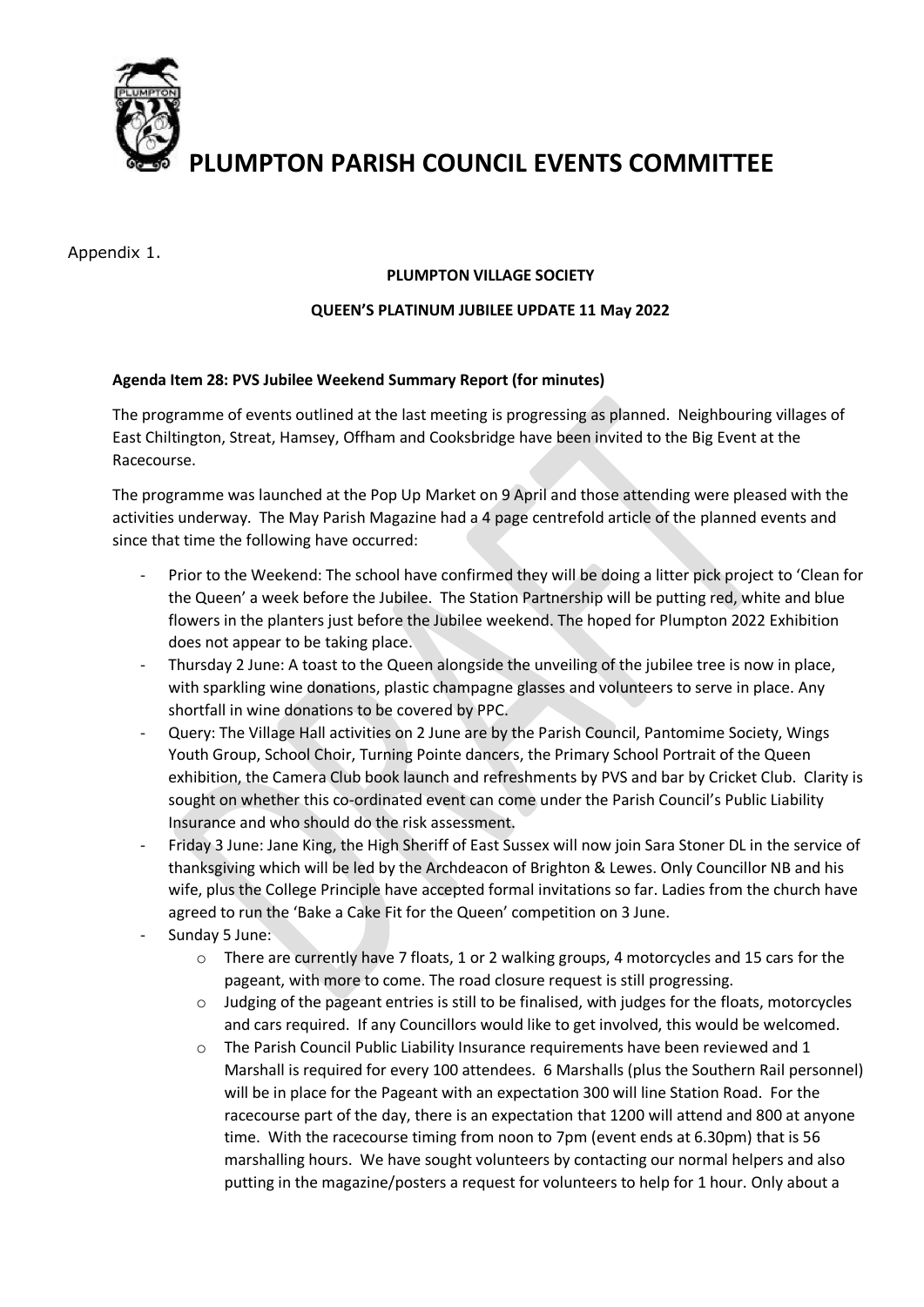

Appendix 1.

#### **PLUMPTON VILLAGE SOCIETY**

#### **QUEEN'S PLATINUM JUBILEE UPDATE 11 May 2022**

#### **Agenda Item 28: PVS Jubilee Weekend Summary Report (for minutes)**

The programme of events outlined at the last meeting is progressing as planned. Neighbouring villages of East Chiltington, Streat, Hamsey, Offham and Cooksbridge have been invited to the Big Event at the Racecourse.

The programme was launched at the Pop Up Market on 9 April and those attending were pleased with the activities underway. The May Parish Magazine had a 4 page centrefold article of the planned events and since that time the following have occurred:

- Prior to the Weekend: The school have confirmed they will be doing a litter pick project to 'Clean for the Queen' a week before the Jubilee. The Station Partnership will be putting red, white and blue flowers in the planters just before the Jubilee weekend. The hoped for Plumpton 2022 Exhibition does not appear to be taking place.
- Thursday 2 June: A toast to the Queen alongside the unveiling of the jubilee tree is now in place, with sparkling wine donations, plastic champagne glasses and volunteers to serve in place. Any shortfall in wine donations to be covered by PPC.
- Query: The Village Hall activities on 2 June are by the Parish Council, Pantomime Society, Wings Youth Group, School Choir, Turning Pointe dancers, the Primary School Portrait of the Queen exhibition, the Camera Club book launch and refreshments by PVS and bar by Cricket Club. Clarity is sought on whether this co-ordinated event can come under the Parish Council's Public Liability Insurance and who should do the risk assessment.
- Friday 3 June: Jane King, the High Sheriff of East Sussex will now join Sara Stoner DL in the service of thanksgiving which will be led by the Archdeacon of Brighton & Lewes. Only Councillor NB and his wife, plus the College Principle have accepted formal invitations so far. Ladies from the church have agreed to run the 'Bake a Cake Fit for the Queen' competition on 3 June.
- Sunday 5 June:
	- $\circ$  There are currently have 7 floats, 1 or 2 walking groups, 4 motorcycles and 15 cars for the pageant, with more to come. The road closure request is still progressing.
	- o Judging of the pageant entries is still to be finalised, with judges for the floats, motorcycles and cars required. If any Councillors would like to get involved, this would be welcomed.
	- $\circ$  The Parish Council Public Liability Insurance requirements have been reviewed and 1 Marshall is required for every 100 attendees. 6 Marshalls (plus the Southern Rail personnel) will be in place for the Pageant with an expectation 300 will line Station Road. For the racecourse part of the day, there is an expectation that 1200 will attend and 800 at anyone time. With the racecourse timing from noon to 7pm (event ends at 6.30pm) that is 56 marshalling hours. We have sought volunteers by contacting our normal helpers and also putting in the magazine/posters a request for volunteers to help for 1 hour. Only about a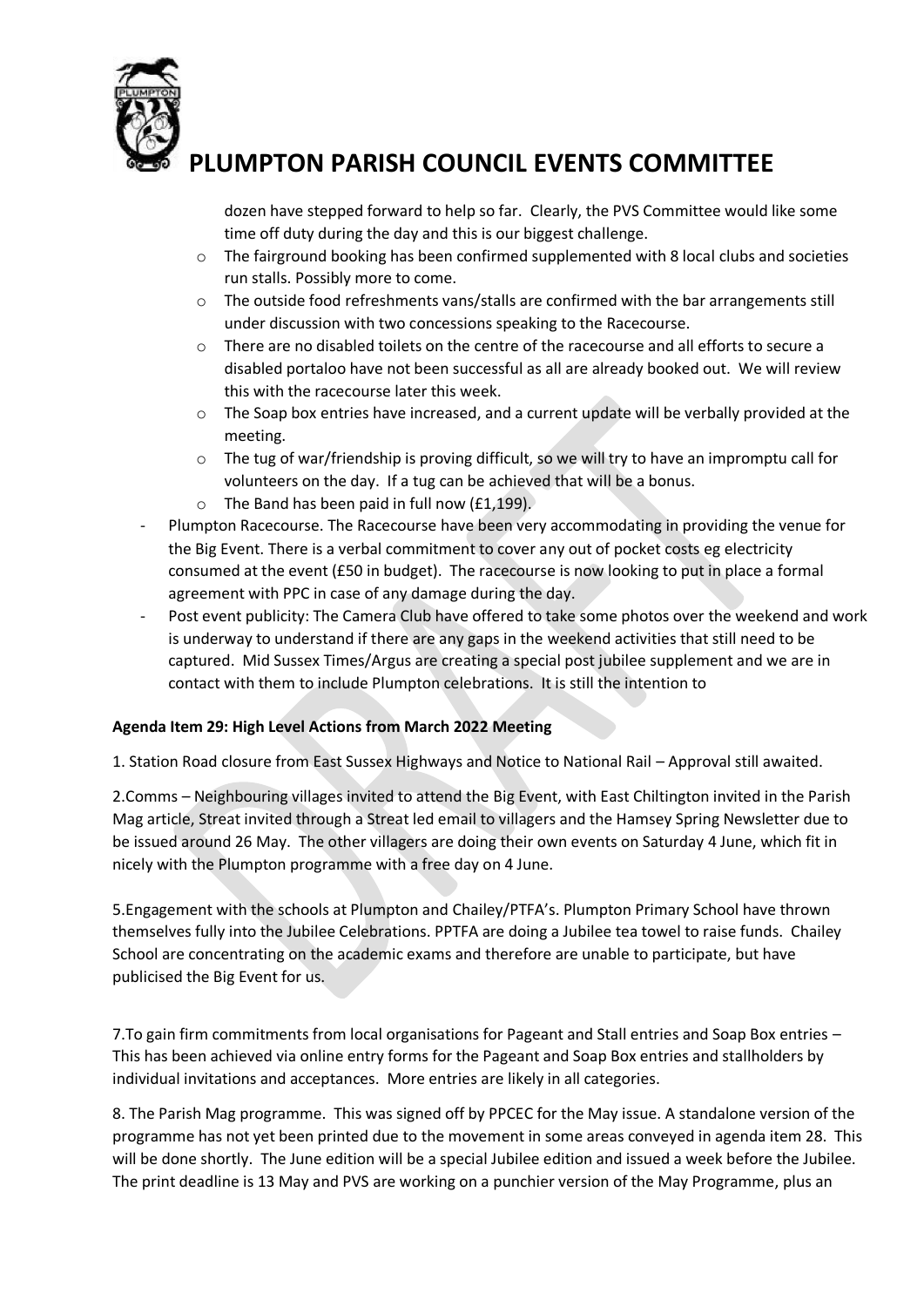

dozen have stepped forward to help so far. Clearly, the PVS Committee would like some time off duty during the day and this is our biggest challenge.

- $\circ$  The fairground booking has been confirmed supplemented with 8 local clubs and societies run stalls. Possibly more to come.
- $\circ$  The outside food refreshments vans/stalls are confirmed with the bar arrangements still under discussion with two concessions speaking to the Racecourse.
- o There are no disabled toilets on the centre of the racecourse and all efforts to secure a disabled portaloo have not been successful as all are already booked out. We will review this with the racecourse later this week.
- $\circ$  The Soap box entries have increased, and a current update will be verbally provided at the meeting.
- $\circ$  The tug of war/friendship is proving difficult, so we will try to have an impromptu call for volunteers on the day. If a tug can be achieved that will be a bonus.
- $\circ$  The Band has been paid in full now (£1,199).
- Plumpton Racecourse. The Racecourse have been very accommodating in providing the venue for the Big Event. There is a verbal commitment to cover any out of pocket costs eg electricity consumed at the event (£50 in budget). The racecourse is now looking to put in place a formal agreement with PPC in case of any damage during the day.
- Post event publicity: The Camera Club have offered to take some photos over the weekend and work is underway to understand if there are any gaps in the weekend activities that still need to be captured. Mid Sussex Times/Argus are creating a special post jubilee supplement and we are in contact with them to include Plumpton celebrations. It is still the intention to

## **Agenda Item 29: High Level Actions from March 2022 Meeting**

1. Station Road closure from East Sussex Highways and Notice to National Rail – Approval still awaited.

2.Comms – Neighbouring villages invited to attend the Big Event, with East Chiltington invited in the Parish Mag article, Streat invited through a Streat led email to villagers and the Hamsey Spring Newsletter due to be issued around 26 May. The other villagers are doing their own events on Saturday 4 June, which fit in nicely with the Plumpton programme with a free day on 4 June.

5.Engagement with the schools at Plumpton and Chailey/PTFA's. Plumpton Primary School have thrown themselves fully into the Jubilee Celebrations. PPTFA are doing a Jubilee tea towel to raise funds. Chailey School are concentrating on the academic exams and therefore are unable to participate, but have publicised the Big Event for us.

7.To gain firm commitments from local organisations for Pageant and Stall entries and Soap Box entries – This has been achieved via online entry forms for the Pageant and Soap Box entries and stallholders by individual invitations and acceptances. More entries are likely in all categories.

8. The Parish Mag programme. This was signed off by PPCEC for the May issue. A standalone version of the programme has not yet been printed due to the movement in some areas conveyed in agenda item 28. This will be done shortly. The June edition will be a special Jubilee edition and issued a week before the Jubilee. The print deadline is 13 May and PVS are working on a punchier version of the May Programme, plus an